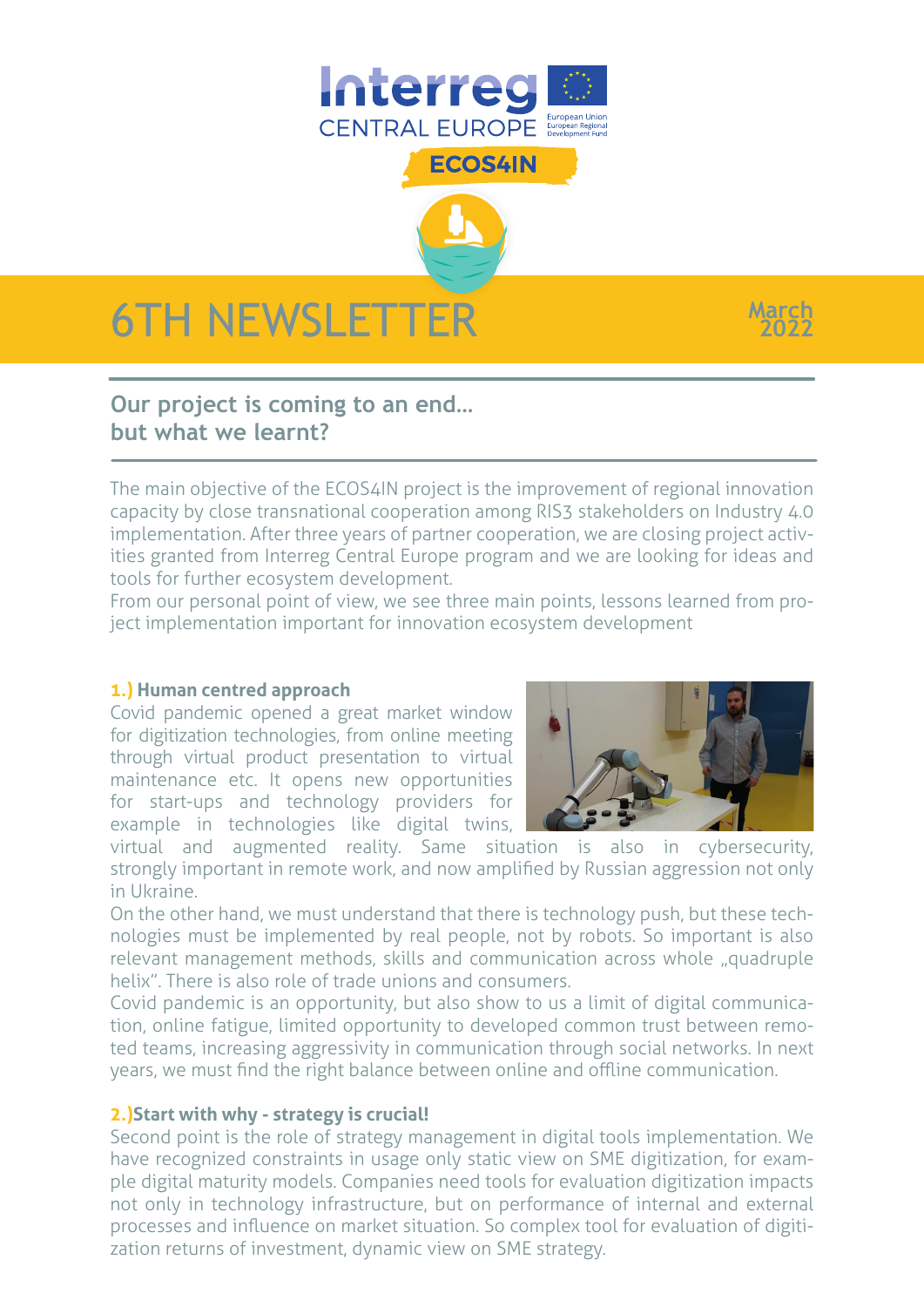

**ECOS4IN** 



# **Our project is coming to an end… but what we learnt?**

The main objective of the ECOS4IN project is the improvement of regional innovation capacity by close transnational cooperation among RIS3 stakeholders on Industry 4.0 implementation. After three years of partner cooperation, we are closing project activities granted from Interreg Central Europe program and we are looking for ideas and tools for further ecosystem development.

From our personal point of view, we see three main points, lessons learned from project implementation important for innovation ecosystem development

#### **1.) Human centred approach**

Covid pandemic opened a great market window for digitization technologies, from online meeting through virtual product presentation to virtual maintenance etc. It opens new opportunities for start-ups and technology providers for example in technologies like digital twins,



**March 2022**

virtual and augmented reality. Same situation is also in cybersecurity, strongly important in remote work, and now amplified by Russian aggression not only in Ukraine.

On the other hand, we must understand that there is technology push, but these technologies must be implemented by real people, not by robots. So important is also relevant management methods, skills and communication across whole "quadruple helix". There is also role of trade unions and consumers.

Covid pandemic is an opportunity, but also show to us a limit of digital communication, online fatigue, limited opportunity to developed common trust between remoted teams, increasing aggressivity in communication through social networks. In next years, we must find the right balance between online and offline communication.

#### **2.)Start with why - strategy is crucial!**

Second point is the role of strategy management in digital tools implementation. We have recognized constraints in usage only static view on SME digitization, for example digital maturity models. Companies need tools for evaluation digitization impacts not only in technology infrastructure, but on performance of internal and external processes and influence on market situation. So complex tool for evaluation of digitization returns of investment, dynamic view on SME strategy.